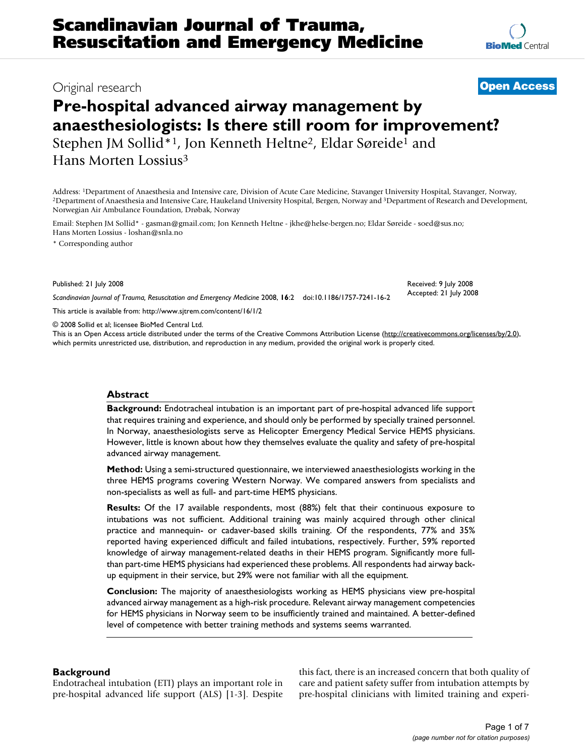# Original research **[Open Access](http://www.biomedcentral.com/info/about/charter/)**

# **Pre-hospital advanced airway management by anaesthesiologists: Is there still room for improvement?**

Stephen JM Sollid\*1, Jon Kenneth Heltne2, Eldar Søreide1 and Hans Morten Lossius3

Address: <sup>1</sup>Department of Anaesthesia and Intensive care, Division of Acute Care Medicine, Stavanger University Hospital, Stavanger, Norway,<br><sup>2</sup>Department of Anaesthesia and Intensive Care, Haukeland University Hospital, B Norwegian Air Ambulance Foundation, Drøbak, Norway

Email: Stephen JM Sollid\* - gasman@gmail.com; Jon Kenneth Heltne - jkhe@helse-bergen.no; Eldar Søreide - soed@sus.no; Hans Morten Lossius - loshan@snla.no

\* Corresponding author

Published: 21 July 2008

*Scandinavian Journal of Trauma, Resuscitation and Emergency Medicine* 2008, **16**:2 doi:10.1186/1757-7241-16-2

[This article is available from: http://www.sjtrem.com/content/16/1/2](http://www.sjtrem.com/content/16/1/2)

© 2008 Sollid et al; licensee BioMed Central Ltd.

This is an Open Access article distributed under the terms of the Creative Commons Attribution License [\(http://creativecommons.org/licenses/by/2.0\)](http://creativecommons.org/licenses/by/2.0), which permits unrestricted use, distribution, and reproduction in any medium, provided the original work is properly cited.

# **Abstract**

**Background:** Endotracheal intubation is an important part of pre-hospital advanced life support that requires training and experience, and should only be performed by specially trained personnel. In Norway, anaesthesiologists serve as Helicopter Emergency Medical Service HEMS physicians. However, little is known about how they themselves evaluate the quality and safety of pre-hospital advanced airway management.

**Method:** Using a semi-structured questionnaire, we interviewed anaesthesiologists working in the three HEMS programs covering Western Norway. We compared answers from specialists and non-specialists as well as full- and part-time HEMS physicians.

**Results:** Of the 17 available respondents, most (88%) felt that their continuous exposure to intubations was not sufficient. Additional training was mainly acquired through other clinical practice and mannequin- or cadaver-based skills training. Of the respondents, 77% and 35% reported having experienced difficult and failed intubations, respectively. Further, 59% reported knowledge of airway management-related deaths in their HEMS program. Significantly more fullthan part-time HEMS physicians had experienced these problems. All respondents had airway backup equipment in their service, but 29% were not familiar with all the equipment.

**Conclusion:** The majority of anaesthesiologists working as HEMS physicians view pre-hospital advanced airway management as a high-risk procedure. Relevant airway management competencies for HEMS physicians in Norway seem to be insufficiently trained and maintained. A better-defined level of competence with better training methods and systems seems warranted.

# **Background**

Endotracheal intubation (ETI) plays an important role in pre-hospital advanced life support (ALS) [1-3]. Despite

this fact, there is an increased concern that both quality of care and patient safety suffer from intubation attempts by pre-hospital clinicians with limited training and experi-

Received: 9 July 2008 Accepted: 21 July 2008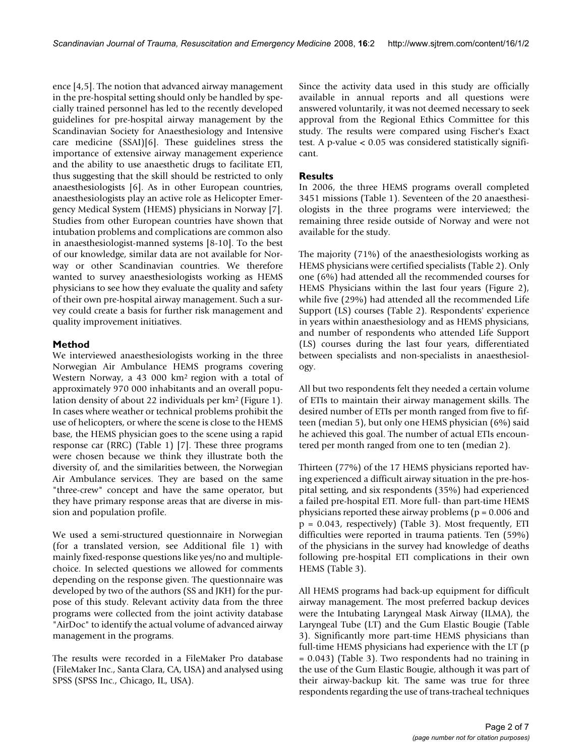ence [4,5]. The notion that advanced airway management in the pre-hospital setting should only be handled by specially trained personnel has led to the recently developed guidelines for pre-hospital airway management by the Scandinavian Society for Anaesthesiology and Intensive care medicine (SSAI)[6]. These guidelines stress the importance of extensive airway management experience and the ability to use anaesthetic drugs to facilitate ETI, thus suggesting that the skill should be restricted to only anaesthesiologists [6]. As in other European countries, anaesthesiologists play an active role as Helicopter Emergency Medical System (HEMS) physicians in Norway [7]. Studies from other European countries have shown that intubation problems and complications are common also in anaesthesiologist-manned systems [8-10]. To the best of our knowledge, similar data are not available for Norway or other Scandinavian countries. We therefore wanted to survey anaesthesiologists working as HEMS physicians to see how they evaluate the quality and safety of their own pre-hospital airway management. Such a survey could create a basis for further risk management and quality improvement initiatives.

# **Method**

We interviewed anaesthesiologists working in the three Norwegian Air Ambulance HEMS programs covering Western Norway, a 43 000 km2 region with a total of approximately 970 000 inhabitants and an overall population density of about 22 individuals per km2 (Figure 1). In cases where weather or technical problems prohibit the use of helicopters, or where the scene is close to the HEMS base, the HEMS physician goes to the scene using a rapid response car (RRC) (Table 1) [7]. These three programs were chosen because we think they illustrate both the diversity of, and the similarities between, the Norwegian Air Ambulance services. They are based on the same "three-crew" concept and have the same operator, but they have primary response areas that are diverse in mission and population profile.

We used a semi-structured questionnaire in Norwegian (for a translated version, see Additional file 1) with mainly fixed-response questions like yes/no and multiplechoice. In selected questions we allowed for comments depending on the response given. The questionnaire was developed by two of the authors (SS and JKH) for the purpose of this study. Relevant activity data from the three programs were collected from the joint activity database "AirDoc" to identify the actual volume of advanced airway management in the programs.

The results were recorded in a FileMaker Pro database (FileMaker Inc., Santa Clara, CA, USA) and analysed using SPSS (SPSS Inc., Chicago, IL, USA).

Since the activity data used in this study are officially available in annual reports and all questions were answered voluntarily, it was not deemed necessary to seek approval from the Regional Ethics Committee for this study. The results were compared using Fischer's Exact test. A p-value < 0.05 was considered statistically significant.

# **Results**

In 2006, the three HEMS programs overall completed 3451 missions (Table 1). Seventeen of the 20 anaesthesiologists in the three programs were interviewed; the remaining three reside outside of Norway and were not available for the study.

The majority (71%) of the anaesthesiologists working as HEMS physicians were certified specialists (Table 2). Only one (6%) had attended all the recommended courses for HEMS Physicians within the last four years (Figure 2), while five (29%) had attended all the recommended Life Support (LS) courses (Table 2). Respondents' experience in years within anaesthesiology and as HEMS physicians, and number of respondents who attended Life Support (LS) courses during the last four years, differentiated between specialists and non-specialists in anaesthesiology.

All but two respondents felt they needed a certain volume of ETIs to maintain their airway management skills. The desired number of ETIs per month ranged from five to fifteen (median 5), but only one HEMS physician (6%) said he achieved this goal. The number of actual ETIs encountered per month ranged from one to ten (median 2).

Thirteen (77%) of the 17 HEMS physicians reported having experienced a difficult airway situation in the pre-hospital setting, and six respondents (35%) had experienced a failed pre-hospital ETI. More full- than part-time HEMS physicians reported these airway problems ( $p = 0.006$  and p = 0.043, respectively) (Table 3). Most frequently, ETI difficulties were reported in trauma patients. Ten (59%) of the physicians in the survey had knowledge of deaths following pre-hospital ETI complications in their own HEMS (Table 3).

All HEMS programs had back-up equipment for difficult airway management. The most preferred backup devices were the Intubating Laryngeal Mask Airway (ILMA), the Laryngeal Tube (LT) and the Gum Elastic Bougie (Table 3). Significantly more part-time HEMS physicians than full-time HEMS physicians had experience with the LT (p = 0.043) (Table 3). Two respondents had no training in the use of the Gum Elastic Bougie, although it was part of their airway-backup kit. The same was true for three respondents regarding the use of trans-tracheal techniques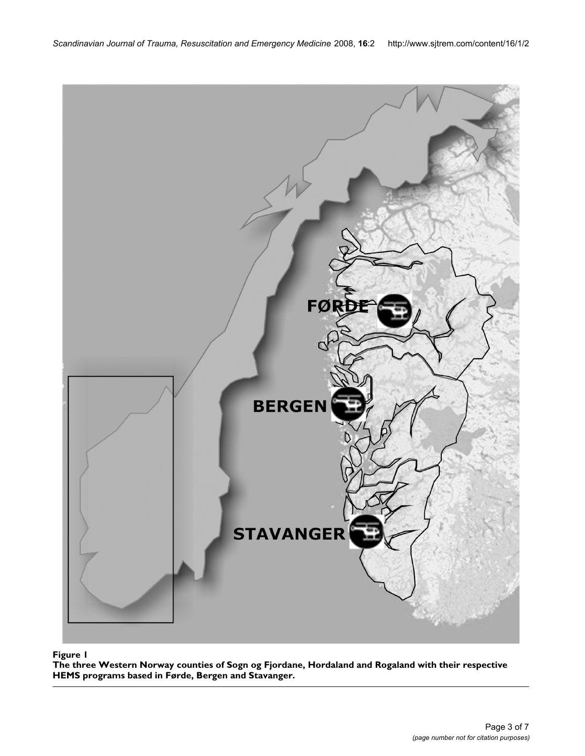

The three Western Norway counties of Sogn og Fjordane, Ho based in Førde, Bergen and Stavanger **Figure 1** rdaland and Rogaland with their respective HEMS programs **The three Western Norway counties of Sogn og Fjordane, Hordaland and Rogaland with their respective HEMS programs based in Førde, Bergen and Stavanger.**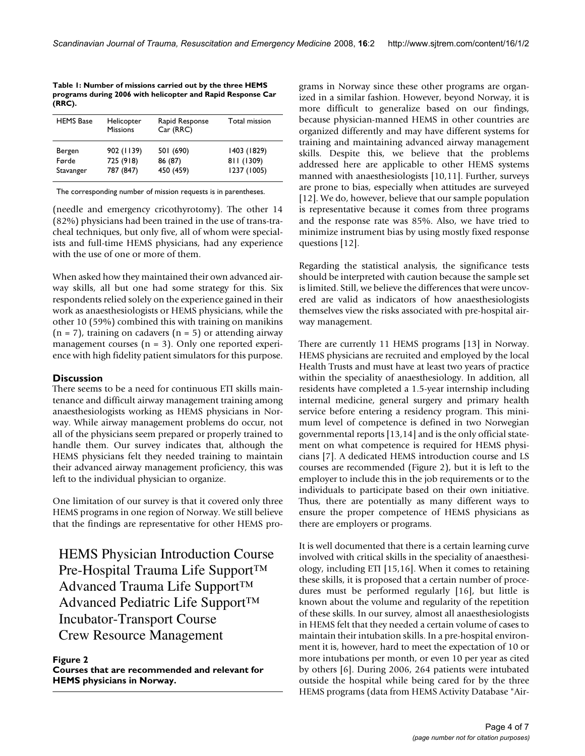**Table 1: Number of missions carried out by the three HEMS programs during 2006 with helicopter and Rapid Response Car (RRC).**

| <b>HEMS</b> Base | Helicopter<br><b>Missions</b> | Rapid Response<br>Car (RRC) | Total mission |  |  |
|------------------|-------------------------------|-----------------------------|---------------|--|--|
| Bergen           | 902 (1139)                    | 501 (690)                   | 1403 (1829)   |  |  |
| Førde            | 725 (918)                     | 86 (87)                     | 811 (1309)    |  |  |
| Stavanger        | 787 (847)                     | 450 (459)                   | 1237 (1005)   |  |  |

The corresponding number of mission requests is in parentheses.

(needle and emergency cricothyrotomy). The other 14 (82%) physicians had been trained in the use of trans-tracheal techniques, but only five, all of whom were specialists and full-time HEMS physicians, had any experience with the use of one or more of them.

When asked how they maintained their own advanced airway skills, all but one had some strategy for this. Six respondents relied solely on the experience gained in their work as anaesthesiologists or HEMS physicians, while the other 10 (59%) combined this with training on manikins  $(n = 7)$ , training on cadavers  $(n = 5)$  or attending airway management courses  $(n = 3)$ . Only one reported experience with high fidelity patient simulators for this purpose.

# **Discussion**

There seems to be a need for continuous ETI skills maintenance and difficult airway management training among anaesthesiologists working as HEMS physicians in Norway. While airway management problems do occur, not all of the physicians seem prepared or properly trained to handle them. Our survey indicates that, although the HEMS physicians felt they needed training to maintain their advanced airway management proficiency, this was left to the individual physician to organize.

One limitation of our survey is that it covered only three HEMS programs in one region of Norway. We still believe that the findings are representative for other HEMS pro-

HEMS Physician Introduction Course Pre-Hospital Trauma Life Support™ Advanced Trauma Life Support™ Advanced Pediatric Life Support™ Incubator-Transport Course Crew Resource Management

Figure 2 **Courses that are recommended and relevant for HEMS physicians in Norway.**

grams in Norway since these other programs are organized in a similar fashion. However, beyond Norway, it is more difficult to generalize based on our findings, because physician-manned HEMS in other countries are organized differently and may have different systems for training and maintaining advanced airway management skills. Despite this, we believe that the problems addressed here are applicable to other HEMS systems manned with anaesthesiologists [10,11]. Further, surveys are prone to bias, especially when attitudes are surveyed [12]. We do, however, believe that our sample population is representative because it comes from three programs and the response rate was 85%. Also, we have tried to minimize instrument bias by using mostly fixed response questions [12].

Regarding the statistical analysis, the significance tests should be interpreted with caution because the sample set is limited. Still, we believe the differences that were uncovered are valid as indicators of how anaesthesiologists themselves view the risks associated with pre-hospital airway management.

There are currently 11 HEMS programs [13] in Norway. HEMS physicians are recruited and employed by the local Health Trusts and must have at least two years of practice within the speciality of anaesthesiology. In addition, all residents have completed a 1.5-year internship including internal medicine, general surgery and primary health service before entering a residency program. This minimum level of competence is defined in two Norwegian governmental reports [13,14] and is the only official statement on what competence is required for HEMS physicians [7]. A dedicated HEMS introduction course and LS courses are recommended (Figure 2), but it is left to the employer to include this in the job requirements or to the individuals to participate based on their own initiative. Thus, there are potentially as many different ways to ensure the proper competence of HEMS physicians as there are employers or programs.

It is well documented that there is a certain learning curve involved with critical skills in the speciality of anaesthesiology, including ETI [15,16]. When it comes to retaining these skills, it is proposed that a certain number of procedures must be performed regularly [16], but little is known about the volume and regularity of the repetition of these skills. In our survey, almost all anaesthesiologists in HEMS felt that they needed a certain volume of cases to maintain their intubation skills. In a pre-hospital environment it is, however, hard to meet the expectation of 10 or more intubations per month, or even 10 per year as cited by others [6]. During 2006, 264 patients were intubated outside the hospital while being cared for by the three HEMS programs (data from HEMS Activity Database "Air-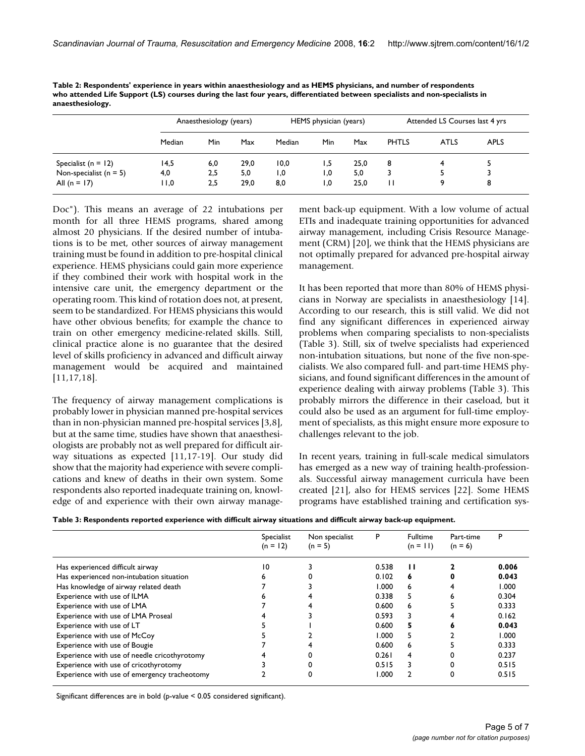|                            | Anaesthesiology (years) |     |      | HEMS physician (years) |     |      | Attended LS Courses last 4 yrs |             |             |
|----------------------------|-------------------------|-----|------|------------------------|-----|------|--------------------------------|-------------|-------------|
|                            | Median                  | Min | Max  | Median                 | Min | Max  | <b>PHTLS</b>                   | <b>ATLS</b> | <b>APLS</b> |
| Specialist ( $n = 12$ )    | 14,5                    | 6,0 | 29,0 | 10,0                   | 1,5 | 25,0 | 8                              | 4           |             |
| Non-specialist ( $n = 5$ ) | 4,0                     | 2,5 | 5,0  | 0, ا                   | 1,0 | 5,0  | 3                              |             |             |
| All (n = 17)               | 0, ا ا                  | 2,5 | 29,0 | 8,0                    | 1,0 | 25,0 |                                | 9           | 8           |

**Table 2: Respondents' experience in years within anaesthesiology and as HEMS physicians, and number of respondents who attended Life Support (LS) courses during the last four years, differentiated between specialists and non-specialists in anaesthesiology.**

Doc"). This means an average of 22 intubations per month for all three HEMS programs, shared among almost 20 physicians. If the desired number of intubations is to be met, other sources of airway management training must be found in addition to pre-hospital clinical experience. HEMS physicians could gain more experience if they combined their work with hospital work in the intensive care unit, the emergency department or the operating room. This kind of rotation does not, at present, seem to be standardized. For HEMS physicians this would have other obvious benefits; for example the chance to train on other emergency medicine-related skills. Still, clinical practice alone is no guarantee that the desired level of skills proficiency in advanced and difficult airway management would be acquired and maintained [11,17,18].

The frequency of airway management complications is probably lower in physician manned pre-hospital services than in non-physician manned pre-hospital services [3,8], but at the same time, studies have shown that anaesthesiologists are probably not as well prepared for difficult airway situations as expected [11,17-19]. Our study did show that the majority had experience with severe complications and knew of deaths in their own system. Some respondents also reported inadequate training on, knowledge of and experience with their own airway management back-up equipment. With a low volume of actual ETIs and inadequate training opportunities for advanced airway management, including Crisis Resource Management (CRM) [20], we think that the HEMS physicians are not optimally prepared for advanced pre-hospital airway management.

It has been reported that more than 80% of HEMS physicians in Norway are specialists in anaesthesiology [14]. According to our research, this is still valid. We did not find any significant differences in experienced airway problems when comparing specialists to non-specialists (Table 3). Still, six of twelve specialists had experienced non-intubation situations, but none of the five non-specialists. We also compared full- and part-time HEMS physicians, and found significant differences in the amount of experience dealing with airway problems (Table 3). This probably mirrors the difference in their caseload, but it could also be used as an argument for full-time employment of specialists, as this might ensure more exposure to challenges relevant to the job.

In recent years, training in full-scale medical simulators has emerged as a new way of training health-professionals. Successful airway management curricula have been created [21], also for HEMS services [22]. Some HEMS programs have established training and certification sys-

**Table 3: Respondents reported experience with difficult airway situations and difficult airway back-up equipment.**

|                                              | Specialist<br>$(n = 12)$ | Non specialist<br>$(n = 5)$ | P     | <b>Fulltime</b><br>$(n = 11)$ | Part-time<br>$(n = 6)$ | P     |
|----------------------------------------------|--------------------------|-----------------------------|-------|-------------------------------|------------------------|-------|
| Has experienced difficult airway             | 10                       |                             | 0.538 | ш                             |                        | 0.006 |
| Has experienced non-intubation situation     | ь                        |                             | 0.102 | 6                             |                        | 0.043 |
| Has knowledge of airway related death        |                          |                             | 1.000 | 6                             |                        | 1.000 |
| Experience with use of ILMA                  |                          |                             | 0.338 | 5                             |                        | 0.304 |
| Experience with use of LMA                   |                          |                             | 0.600 | 6                             |                        | 0.333 |
| Experience with use of LMA Proseal           |                          |                             | 0.593 | 3                             |                        | 0.162 |
| Experience with use of LT                    |                          |                             | 0.600 | 5                             |                        | 0.043 |
| Experience with use of McCoy                 |                          |                             | 000.1 | 5                             |                        | 1.000 |
| Experience with use of Bougie                |                          |                             | 0.600 | 6                             |                        | 0.333 |
| Experience with use of needle cricothyrotomy |                          |                             | 0.261 | 4                             |                        | 0.237 |
| Experience with use of cricothyrotomy        |                          |                             | 0.515 | 3                             |                        | 0.515 |
| Experience with use of emergency tracheotomy |                          |                             | 1.000 | 2                             | O                      | 0.515 |

Significant differences are in bold (p-value < 0.05 considered significant).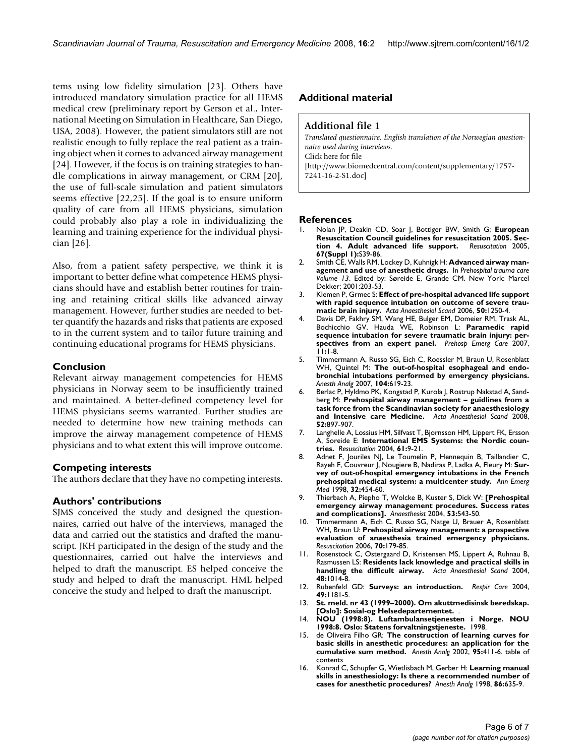tems using low fidelity simulation [23]. Others have introduced mandatory simulation practice for all HEMS medical crew (preliminary report by Gerson et al., International Meeting on Simulation in Healthcare, San Diego, USA, 2008). However, the patient simulators still are not realistic enough to fully replace the real patient as a training object when it comes to advanced airway management [24]. However, if the focus is on training strategies to handle complications in airway management, or CRM [20], the use of full-scale simulation and patient simulators seems effective [22,25]. If the goal is to ensure uniform quality of care from all HEMS physicians, simulation could probably also play a role in individualizing the learning and training experience for the individual physician [26].

Also, from a patient safety perspective, we think it is important to better define what competence HEMS physicians should have and establish better routines for training and retaining critical skills like advanced airway management. However, further studies are needed to better quantify the hazards and risks that patients are exposed to in the current system and to tailor future training and continuing educational programs for HEMS physicians.

## **Conclusion**

Relevant airway management competencies for HEMS physicians in Norway seem to be insufficiently trained and maintained. A better-defined competency level for HEMS physicians seems warranted. Further studies are needed to determine how new training methods can improve the airway management competence of HEMS physicians and to what extent this will improve outcome.

### **Competing interests**

The authors declare that they have no competing interests.

#### **Authors' contributions**

SJMS conceived the study and designed the questionnaires, carried out halve of the interviews, managed the data and carried out the statistics and drafted the manuscript. JKH participated in the design of the study and the questionnaires, carried out halve the interviews and helped to draft the manuscript. ES helped conceive the study and helped to draft the manuscript. HML helped conceive the study and helped to draft the manuscript.

#### **Additional material**

## **Additional file 1**

*Translated questionnaire. English translation of the Norwegian questionnaire used during interviews.* Click here for file [\[http://www.biomedcentral.com/content/supplementary/1757-](http://www.biomedcentral.com/content/supplementary/1757-7241-16-2-S1.doc) 7241-16-2-S1.doc]

#### **References**

- 1. Nolan JP, Deakin CD, Soar J, Bottiger BW, Smith G: **[European](http://www.ncbi.nlm.nih.gov/entrez/query.fcgi?cmd=Retrieve&db=PubMed&dopt=Abstract&list_uids=16321716) [Resuscitation Council guidelines for resuscitation 2005. Sec](http://www.ncbi.nlm.nih.gov/entrez/query.fcgi?cmd=Retrieve&db=PubMed&dopt=Abstract&list_uids=16321716)[tion 4. Adult advanced life support.](http://www.ncbi.nlm.nih.gov/entrez/query.fcgi?cmd=Retrieve&db=PubMed&dopt=Abstract&list_uids=16321716)** *Resuscitation* 2005, **67(Suppl 1):**S39-86.
- 2. Smith CE, Walls RM, Lockey D, Kuhnigk H: **Advanced airway management and use of anesthetic drugs.** In *Prehospital trauma care Volume 13*. Edited by: Søreide E, Grande CM. New York: Marcel Dekker; 2001:203-53.
- 3. Klemen P, Grmec S: **[Effect of pre-hospital advanced life support](http://www.ncbi.nlm.nih.gov/entrez/query.fcgi?cmd=Retrieve&db=PubMed&dopt=Abstract&list_uids=17067325) [with rapid sequence intubation on outcome of severe trau](http://www.ncbi.nlm.nih.gov/entrez/query.fcgi?cmd=Retrieve&db=PubMed&dopt=Abstract&list_uids=17067325)[matic brain injury.](http://www.ncbi.nlm.nih.gov/entrez/query.fcgi?cmd=Retrieve&db=PubMed&dopt=Abstract&list_uids=17067325)** *Acta Anaesthesiol Scand* 2006, **50:**1250-4.
- 4. Davis DP, Fakhry SM, Wang HE, Bulger EM, Domeier RM, Trask AL, Bochicchio GV, Hauda WE, Robinson L: **[Paramedic rapid](http://www.ncbi.nlm.nih.gov/entrez/query.fcgi?cmd=Retrieve&db=PubMed&dopt=Abstract&list_uids=17169868) [sequence intubation for severe traumatic brain injury: per](http://www.ncbi.nlm.nih.gov/entrez/query.fcgi?cmd=Retrieve&db=PubMed&dopt=Abstract&list_uids=17169868)[spectives from an expert panel.](http://www.ncbi.nlm.nih.gov/entrez/query.fcgi?cmd=Retrieve&db=PubMed&dopt=Abstract&list_uids=17169868)** *Prehosp Emerg Care* 2007, **11:**1-8.
- 5. Timmermann A, Russo SG, Eich C, Roessler M, Braun U, Rosenblatt WH, Quintel M: **[The out-of-hospital esophageal and endo](http://www.ncbi.nlm.nih.gov/entrez/query.fcgi?cmd=Retrieve&db=PubMed&dopt=Abstract&list_uids=17312220)[bronchial intubations performed by emergency physicians.](http://www.ncbi.nlm.nih.gov/entrez/query.fcgi?cmd=Retrieve&db=PubMed&dopt=Abstract&list_uids=17312220)** *Anesth Analg* 2007, **104:**619-23.
- 6. Berlac P, Hyldmo PK, Kongstad P, Kurola J, Rostrup Nakstad A, Sandberg M: **Prehospital airway management – guidlines from a task force from the Scandinavian society for anaesthesiology and Intensive care Medicine.** *Acta Anaesthesiol Scand* 2008, **52:**897-907.
- 7. Langhelle A, Lossius HM, Silfvast T, Bjornsson HM, Lippert FK, Ersson A, Soreide E: **[International EMS Systems: the Nordic coun](http://www.ncbi.nlm.nih.gov/entrez/query.fcgi?cmd=Retrieve&db=PubMed&dopt=Abstract&list_uids=15081176)[tries.](http://www.ncbi.nlm.nih.gov/entrez/query.fcgi?cmd=Retrieve&db=PubMed&dopt=Abstract&list_uids=15081176)** *Resuscitation* 2004, **61:**9-21.
- 8. Adnet F, Jouriles NJ, Le Toumelin P, Hennequin B, Taillandier C, Rayeh F, Couvreur J, Nougiere B, Nadiras P, Ladka A, Fleury M: **[Sur](http://www.ncbi.nlm.nih.gov/entrez/query.fcgi?cmd=Retrieve&db=PubMed&dopt=Abstract&list_uids=9774930)[vey of out-of-hospital emergency intubations in the French](http://www.ncbi.nlm.nih.gov/entrez/query.fcgi?cmd=Retrieve&db=PubMed&dopt=Abstract&list_uids=9774930) [prehospital medical system: a multicenter study.](http://www.ncbi.nlm.nih.gov/entrez/query.fcgi?cmd=Retrieve&db=PubMed&dopt=Abstract&list_uids=9774930)** *Ann Emerg Med* 1998, **32:**454-60.
- 9. Thierbach A, Piepho T, Wolcke B, Kuster S, Dick W: **[\[Prehospital](http://www.ncbi.nlm.nih.gov/entrez/query.fcgi?cmd=Retrieve&db=PubMed&dopt=Abstract&list_uids=15088093) [emergency airway management procedures. Success rates](http://www.ncbi.nlm.nih.gov/entrez/query.fcgi?cmd=Retrieve&db=PubMed&dopt=Abstract&list_uids=15088093) [and complications\].](http://www.ncbi.nlm.nih.gov/entrez/query.fcgi?cmd=Retrieve&db=PubMed&dopt=Abstract&list_uids=15088093)** *Anaesthesist* 2004, **53:**543-50.
- 10. Timmermann A, Eich C, Russo SG, Natge U, Brauer A, Rosenblatt WH, Braun U: **[Prehospital airway management: a prospective](http://www.ncbi.nlm.nih.gov/entrez/query.fcgi?cmd=Retrieve&db=PubMed&dopt=Abstract&list_uids=16828956) [evaluation of anaesthesia trained emergency physicians.](http://www.ncbi.nlm.nih.gov/entrez/query.fcgi?cmd=Retrieve&db=PubMed&dopt=Abstract&list_uids=16828956)** *Resuscitation* 2006, **70:**179-85.
- 11. Rosenstock C, Ostergaard D, Kristensen MS, Lippert A, Ruhnau B, Rasmussen LS: **[Residents lack knowledge and practical skills in](http://www.ncbi.nlm.nih.gov/entrez/query.fcgi?cmd=Retrieve&db=PubMed&dopt=Abstract&list_uids=15315620) [handling the difficult airway.](http://www.ncbi.nlm.nih.gov/entrez/query.fcgi?cmd=Retrieve&db=PubMed&dopt=Abstract&list_uids=15315620)** *Acta Anaesthesiol Scand* 2004, **48:**1014-8.
- 12. Rubenfeld GD: **[Surveys: an introduction.](http://www.ncbi.nlm.nih.gov/entrez/query.fcgi?cmd=Retrieve&db=PubMed&dopt=Abstract&list_uids=15447800)** *Respir Care* 2004, **49:**1181-5.
- 13. **St. meld. nr 43 (1999–2000). Om akuttmedisinsk beredskap. [Oslo]: Sosial-og Helsedepartementet.** .
- 14. **NOU (1998:8). Luftambulansetjenesten i Norge. NOU 1998:8. Oslo: Statens forvaltningstjeneste.** 1998.
- 15. de Oliveira Filho GR: **[The construction of learning curves for](http://www.ncbi.nlm.nih.gov/entrez/query.fcgi?cmd=Retrieve&db=PubMed&dopt=Abstract&list_uids=12145063) [basic skills in anesthetic procedures: an application for the](http://www.ncbi.nlm.nih.gov/entrez/query.fcgi?cmd=Retrieve&db=PubMed&dopt=Abstract&list_uids=12145063) [cumulative sum method.](http://www.ncbi.nlm.nih.gov/entrez/query.fcgi?cmd=Retrieve&db=PubMed&dopt=Abstract&list_uids=12145063)** *Anesth Analg* 2002, **95:**411-6. table of contents
- 16. Konrad C, Schupfer G, Wietlisbach M, Gerber H: **[Learning manual](http://www.ncbi.nlm.nih.gov/entrez/query.fcgi?cmd=Retrieve&db=PubMed&dopt=Abstract&list_uids=9495429) [skills in anesthesiology: Is there a recommended number of](http://www.ncbi.nlm.nih.gov/entrez/query.fcgi?cmd=Retrieve&db=PubMed&dopt=Abstract&list_uids=9495429) [cases for anesthetic procedures?](http://www.ncbi.nlm.nih.gov/entrez/query.fcgi?cmd=Retrieve&db=PubMed&dopt=Abstract&list_uids=9495429)** *Anesth Analg* 1998, **86:**635-9.